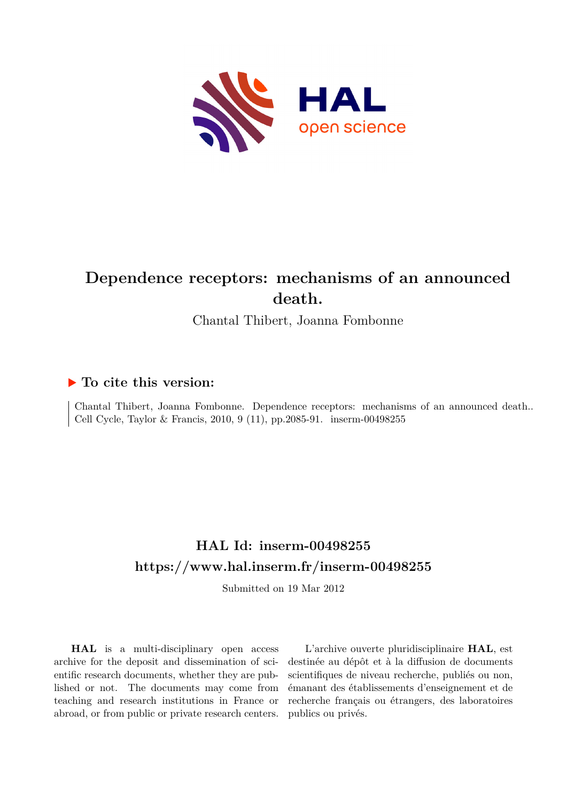

# **Dependence receptors: mechanisms of an announced death.**

Chantal Thibert, Joanna Fombonne

## **To cite this version:**

Chantal Thibert, Joanna Fombonne. Dependence receptors: mechanisms of an announced death.. Cell Cycle, Taylor & Francis, 2010, 9  $(11)$ , pp.2085-91. inserm-00498255

# **HAL Id: inserm-00498255 <https://www.hal.inserm.fr/inserm-00498255>**

Submitted on 19 Mar 2012

**HAL** is a multi-disciplinary open access archive for the deposit and dissemination of scientific research documents, whether they are published or not. The documents may come from teaching and research institutions in France or abroad, or from public or private research centers.

L'archive ouverte pluridisciplinaire **HAL**, est destinée au dépôt et à la diffusion de documents scientifiques de niveau recherche, publiés ou non, émanant des établissements d'enseignement et de recherche français ou étrangers, des laboratoires publics ou privés.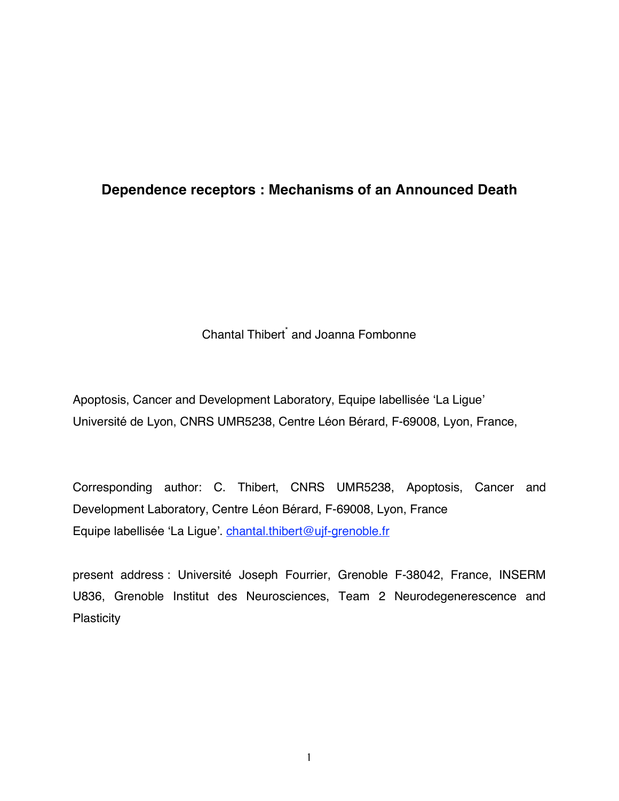# **Dependence receptors : Mechanisms of an Announced Death**

Chantal Thibert<sup>\*</sup> and Joanna Fombonne

Apoptosis, Cancer and Development Laboratory, Equipe labellisée ʻLa Ligue' Université de Lyon, CNRS UMR5238, Centre Léon Bérard, F-69008, Lyon, France,

Corresponding author: C. Thibert, CNRS UMR5238, Apoptosis, Cancer and Development Laboratory, Centre Léon Bérard, F-69008, Lyon, France Equipe labellisée 'La Ligue'. chantal.thibert@ujf-grenoble.fr

present address : Université Joseph Fourrier, Grenoble F-38042, France, INSERM U836, Grenoble Institut des Neurosciences, Team 2 Neurodegenerescence and **Plasticity**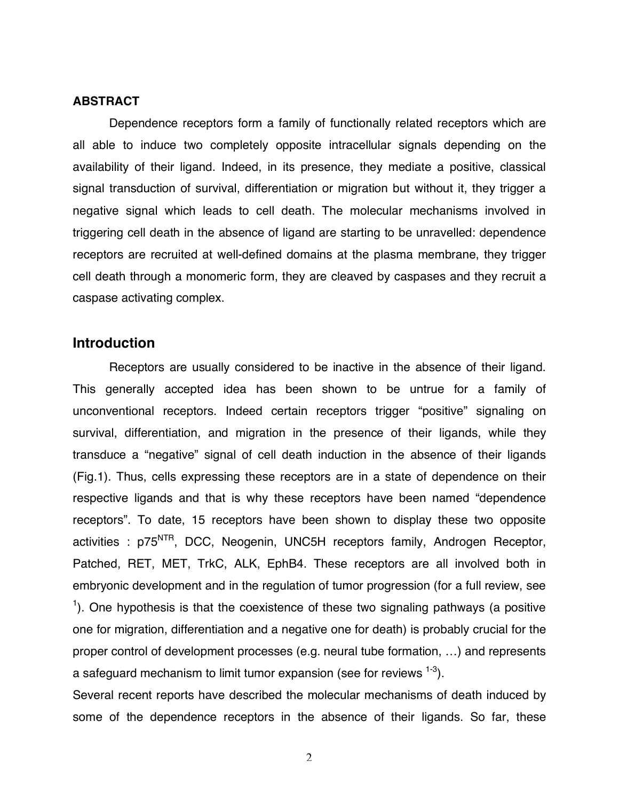#### **ABSTRACT**

Dependence receptors form a family of functionally related receptors which are all able to induce two completely opposite intracellular signals depending on the availability of their ligand. Indeed, in its presence, they mediate a positive, classical signal transduction of survival, differentiation or migration but without it, they trigger a negative signal which leads to cell death. The molecular mechanisms involved in triggering cell death in the absence of ligand are starting to be unravelled: dependence receptors are recruited at well-defined domains at the plasma membrane, they trigger cell death through a monomeric form, they are cleaved by caspases and they recruit a caspase activating complex.

#### **Introduction**

Receptors are usually considered to be inactive in the absence of their ligand. This generally accepted idea has been shown to be untrue for a family of unconventional receptors. Indeed certain receptors trigger "positive" signaling on survival, differentiation, and migration in the presence of their ligands, while they transduce a "negative" signal of cell death induction in the absence of their ligands (Fig.1). Thus, cells expressing these receptors are in a state of dependence on their respective ligands and that is why these receptors have been named "dependence receptors". To date, 15 receptors have been shown to display these two opposite activities : p75<sup>NTR</sup>, DCC, Neogenin, UNC5H receptors family, Androgen Receptor, Patched, RET, MET, TrkC, ALK, EphB4. These receptors are all involved both in embryonic development and in the regulation of tumor progression (for a full review, see  $1$ ). One hypothesis is that the coexistence of these two signaling pathways (a positive one for migration, differentiation and a negative one for death) is probably crucial for the proper control of development processes (e.g. neural tube formation, …) and represents a safeguard mechanism to limit tumor expansion (see for reviews  $^{1-3}$ ).

Several recent reports have described the molecular mechanisms of death induced by some of the dependence receptors in the absence of their ligands. So far, these

 $\mathfrak{D}$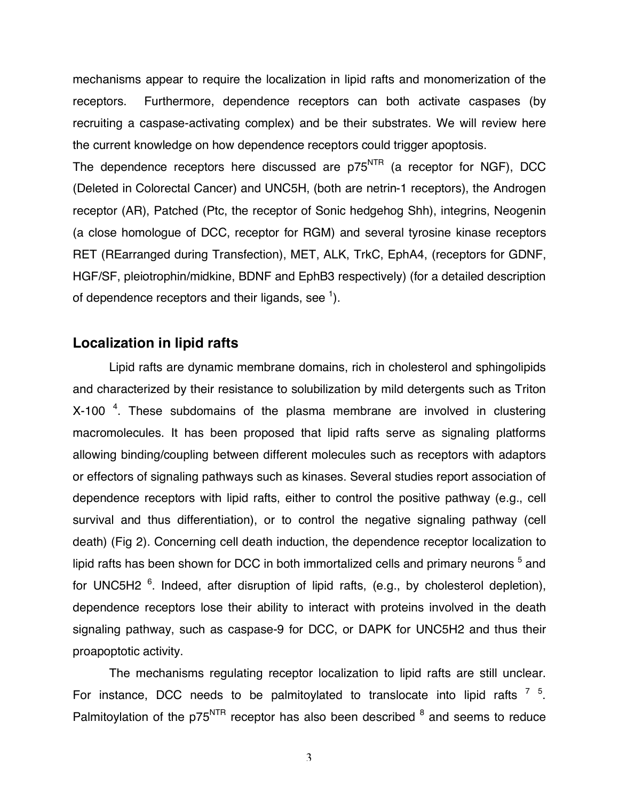mechanisms appear to require the localization in lipid rafts and monomerization of the receptors. Furthermore, dependence receptors can both activate caspases (by recruiting a caspase-activating complex) and be their substrates. We will review here the current knowledge on how dependence receptors could trigger apoptosis.

The dependence receptors here discussed are  $p75<sup>NTR</sup>$  (a receptor for NGF), DCC (Deleted in Colorectal Cancer) and UNC5H, (both are netrin-1 receptors), the Androgen receptor (AR), Patched (Ptc, the receptor of Sonic hedgehog Shh), integrins, Neogenin (a close homologue of DCC, receptor for RGM) and several tyrosine kinase receptors RET (REarranged during Transfection), MET, ALK, TrkC, EphA4, (receptors for GDNF, HGF/SF, pleiotrophin/midkine, BDNF and EphB3 respectively) (for a detailed description of dependence receptors and their ligands, see  $^1$ ).

## **Localization in lipid rafts**

Lipid rafts are dynamic membrane domains, rich in cholesterol and sphingolipids and characterized by their resistance to solubilization by mild detergents such as Triton  $X-100$ <sup>4</sup>. These subdomains of the plasma membrane are involved in clustering macromolecules. It has been proposed that lipid rafts serve as signaling platforms allowing binding/coupling between different molecules such as receptors with adaptors or effectors of signaling pathways such as kinases. Several studies report association of dependence receptors with lipid rafts, either to control the positive pathway (e.g., cell survival and thus differentiation), or to control the negative signaling pathway (cell death) (Fig 2). Concerning cell death induction, the dependence receptor localization to lipid rafts has been shown for DCC in both immortalized cells and primary neurons  $^5$  and for UNC5H2 <sup>6</sup>. Indeed, after disruption of lipid rafts, (e.g., by cholesterol depletion), dependence receptors lose their ability to interact with proteins involved in the death signaling pathway, such as caspase-9 for DCC, or DAPK for UNC5H2 and thus their proapoptotic activity.

The mechanisms regulating receptor localization to lipid rafts are still unclear. For instance, DCC needs to be palmitoylated to translocate into lipid rafts  $7\,$   $^5$ . Palmitoylation of the p75<sup>NTR</sup> receptor has also been described <sup>8</sup> and seems to reduce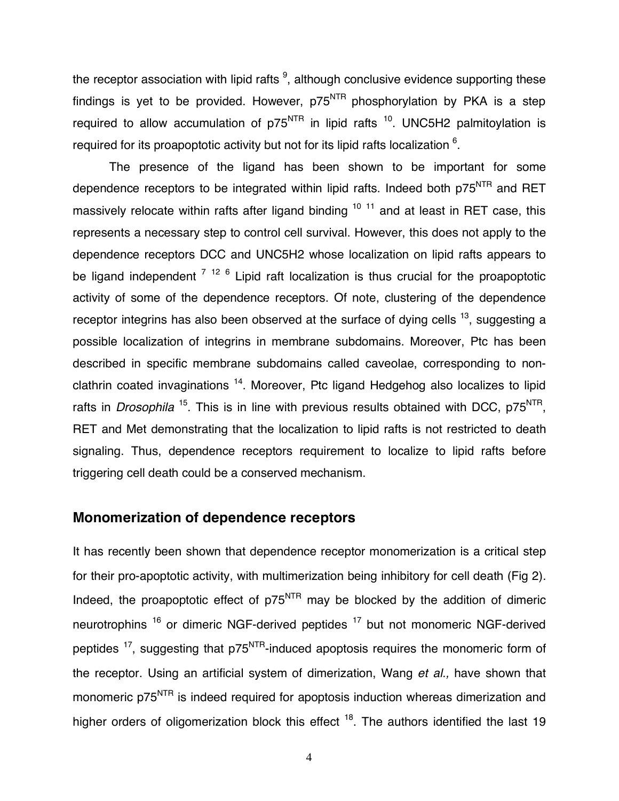the receptor association with lipid rafts  $9$ , although conclusive evidence supporting these findings is yet to be provided. However,  $p75<sup>NTR</sup>$  phosphorylation by PKA is a step required to allow accumulation of  $p75<sup>NTR</sup>$  in lipid rafts <sup>10</sup>. UNC5H2 palmitoylation is required for its proapoptotic activity but not for its lipid rafts localization  $6$ .

The presence of the ligand has been shown to be important for some dependence receptors to be integrated within lipid rafts. Indeed both p75<sup>NTR</sup> and RET massively relocate within rafts after ligand binding  $10^{-11}$  and at least in RET case, this represents a necessary step to control cell survival. However, this does not apply to the dependence receptors DCC and UNC5H2 whose localization on lipid rafts appears to be ligand independent <sup>7 12 6</sup> Lipid raft localization is thus crucial for the proapoptotic activity of some of the dependence receptors. Of note, clustering of the dependence receptor integrins has also been observed at the surface of dying cells  $^{13}$ , suggesting a possible localization of integrins in membrane subdomains. Moreover, Ptc has been described in specific membrane subdomains called caveolae, corresponding to nonclathrin coated invaginations  $14$ . Moreover, Ptc ligand Hedgehog also localizes to lipid rafts in *Drosophila* <sup>15</sup>. This is in line with previous results obtained with DCC, p75<sup>NTR</sup>, RET and Met demonstrating that the localization to lipid rafts is not restricted to death signaling. Thus, dependence receptors requirement to localize to lipid rafts before triggering cell death could be a conserved mechanism.

### **Monomerization of dependence receptors**

It has recently been shown that dependence receptor monomerization is a critical step for their pro-apoptotic activity, with multimerization being inhibitory for cell death (Fig 2). Indeed, the proapoptotic effect of  $p75<sup>NTR</sup>$  may be blocked by the addition of dimeric neurotrophins<sup>16</sup> or dimeric NGF-derived peptides<sup>17</sup> but not monomeric NGF-derived peptides  $17$ , suggesting that p75 $NTR$ -induced apoptosis requires the monomeric form of the receptor. Using an artificial system of dimerization, Wang *et al.,* have shown that monomeric p75<sup>NTR</sup> is indeed required for apoptosis induction whereas dimerization and higher orders of oligomerization block this effect  $18$ . The authors identified the last 19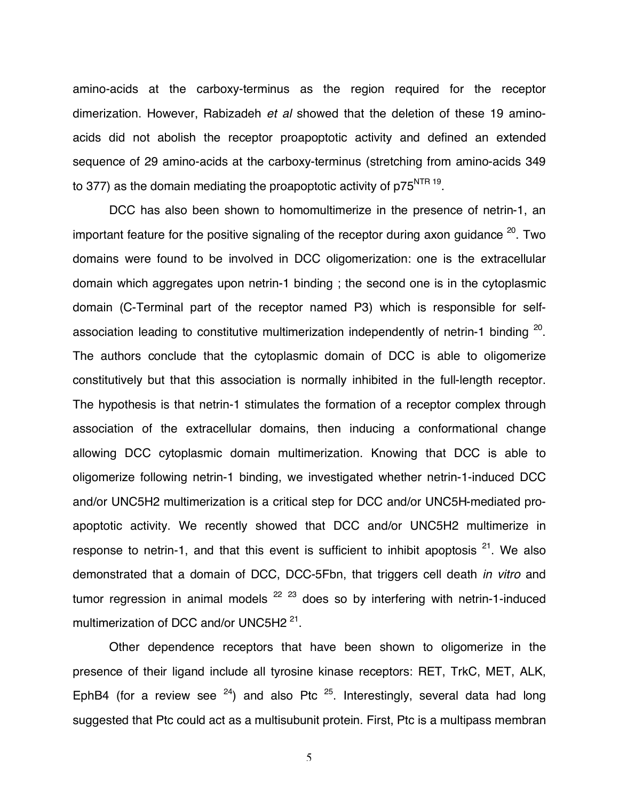amino-acids at the carboxy-terminus as the region required for the receptor dimerization. However, Rabizadeh *et al* showed that the deletion of these 19 aminoacids did not abolish the receptor proapoptotic activity and defined an extended sequence of 29 amino-acids at the carboxy-terminus (stretching from amino-acids 349 to 377) as the domain mediating the proapoptotic activity of  $p75<sup>NTR 19</sup>$ .

DCC has also been shown to homomultimerize in the presence of netrin-1, an important feature for the positive signaling of the receptor during axon quidance  $20$ . Two domains were found to be involved in DCC oligomerization: one is the extracellular domain which aggregates upon netrin-1 binding ; the second one is in the cytoplasmic domain (C-Terminal part of the receptor named P3) which is responsible for selfassociation leading to constitutive multimerization independently of netrin-1 binding  $20$ . The authors conclude that the cytoplasmic domain of DCC is able to oligomerize constitutively but that this association is normally inhibited in the full-length receptor. The hypothesis is that netrin-1 stimulates the formation of a receptor complex through association of the extracellular domains, then inducing a conformational change allowing DCC cytoplasmic domain multimerization. Knowing that DCC is able to oligomerize following netrin-1 binding, we investigated whether netrin-1-induced DCC and/or UNC5H2 multimerization is a critical step for DCC and/or UNC5H-mediated proapoptotic activity. We recently showed that DCC and/or UNC5H2 multimerize in response to netrin-1, and that this event is sufficient to inhibit apoptosis  $21$ . We also demonstrated that a domain of DCC, DCC-5Fbn, that triggers cell death *in vitro* and tumor regression in animal models  $22 \times 23$  does so by interfering with netrin-1-induced multimerization of DCC and/or UNC5H2<sup>21</sup>.

Other dependence receptors that have been shown to oligomerize in the presence of their ligand include all tyrosine kinase receptors: RET, TrkC, MET, ALK, EphB4 (for a review see  $24$ ) and also Ptc  $25$ . Interestingly, several data had long suggested that Ptc could act as a multisubunit protein. First, Ptc is a multipass membran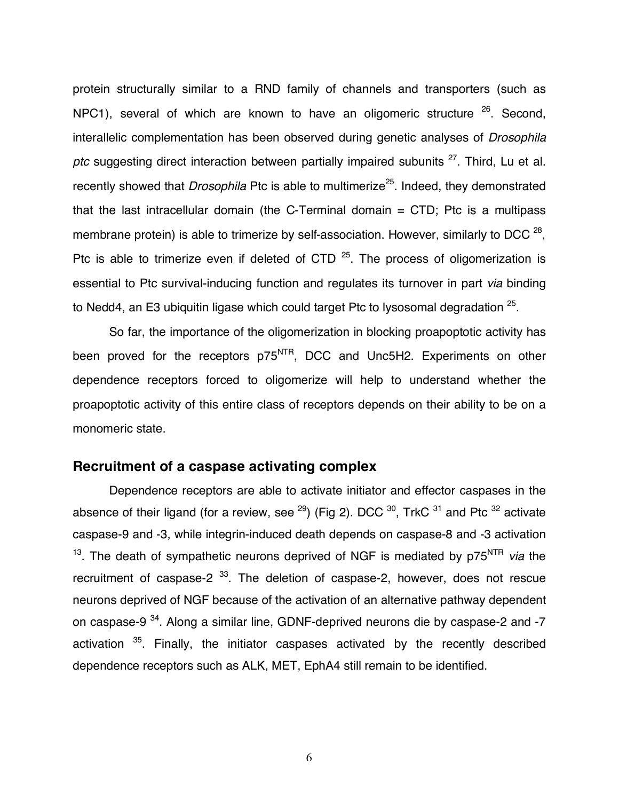protein structurally similar to a RND family of channels and transporters (such as NPC1), several of which are known to have an oligomeric structure  $26$ . Second, interallelic complementation has been observed during genetic analyses of *Drosophila*  ptc suggesting direct interaction between partially impaired subunits <sup>27</sup>. Third, Lu et al. recently showed that *Drosophila* Ptc is able to multimerize<sup>25</sup>. Indeed, they demonstrated that the last intracellular domain (the C-Terminal domain  $=$  CTD; Ptc is a multipass membrane protein) is able to trimerize by self-association. However, similarly to DCC  $^{28}$ . Ptc is able to trimerize even if deleted of CTD  $25$ . The process of oligomerization is essential to Ptc survival-inducing function and regulates its turnover in part *via* binding to Nedd4, an E3 ubiquitin ligase which could target Ptc to lysosomal degradation <sup>25</sup>.

So far, the importance of the oligomerization in blocking proapoptotic activity has been proved for the receptors p75<sup>NTR</sup>, DCC and Unc5H2. Experiments on other dependence receptors forced to oligomerize will help to understand whether the proapoptotic activity of this entire class of receptors depends on their ability to be on a monomeric state.

## **Recruitment of a caspase activating complex**

Dependence receptors are able to activate initiator and effector caspases in the absence of their ligand (for a review, see  $^{29}$ ) (Fig 2). DCC  $^{30}$ , TrkC  $^{31}$  and Ptc  $^{32}$  activate caspase-9 and -3, while integrin-induced death depends on caspase-8 and -3 activation <sup>13</sup>. The death of sympathetic neurons deprived of NGF is mediated by p75<sup>NTR</sup> *via* the recruitment of caspase-2  $33$ . The deletion of caspase-2, however, does not rescue neurons deprived of NGF because of the activation of an alternative pathway dependent on caspase-9 34. Along a similar line, GDNF-deprived neurons die by caspase-2 and -7 activation  $35$ . Finally, the initiator caspases activated by the recently described dependence receptors such as ALK, MET, EphA4 still remain to be identified.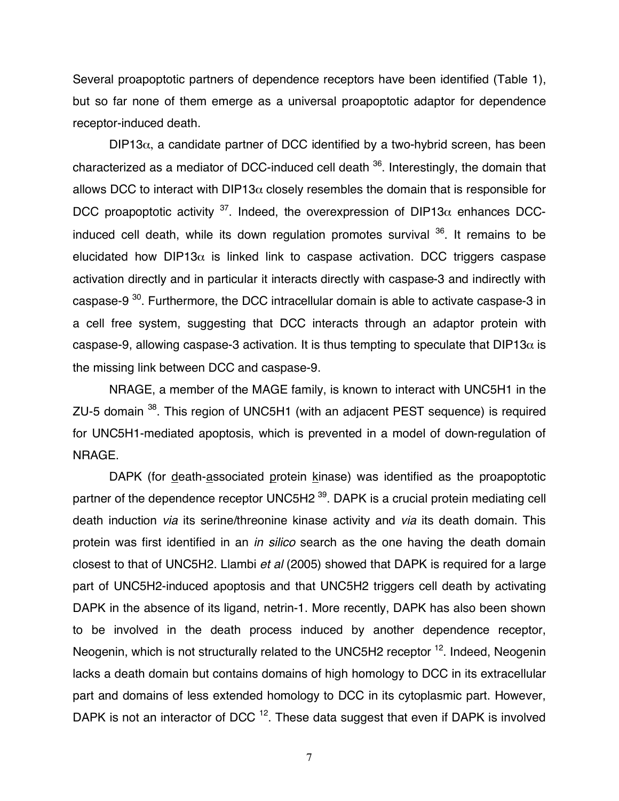Several proapoptotic partners of dependence receptors have been identified (Table 1), but so far none of them emerge as a universal proapoptotic adaptor for dependence receptor-induced death.

 $DIP13\alpha$ , a candidate partner of DCC identified by a two-hybrid screen, has been characterized as a mediator of DCC-induced cell death 36. Interestingly, the domain that allows DCC to interact with DIP13 $\alpha$  closely resembles the domain that is responsible for DCC proapoptotic activity  $37$ . Indeed, the overexpression of DIP13 $\alpha$  enhances DCCinduced cell death, while its down regulation promotes survival  $36$ . It remains to be elucidated how DIP13 $\alpha$  is linked link to caspase activation. DCC triggers caspase activation directly and in particular it interacts directly with caspase-3 and indirectly with caspase-9<sup>30</sup>. Furthermore, the DCC intracellular domain is able to activate caspase-3 in a cell free system, suggesting that DCC interacts through an adaptor protein with caspase-9, allowing caspase-3 activation. It is thus tempting to speculate that DIP13 $\alpha$  is the missing link between DCC and caspase-9.

NRAGE, a member of the MAGE family, is known to interact with UNC5H1 in the ZU-5 domain 38. This region of UNC5H1 (with an adjacent PEST sequence) is required for UNC5H1-mediated apoptosis, which is prevented in a model of down-regulation of NRAGE.

DAPK (for death-associated protein kinase) was identified as the proapoptotic partner of the dependence receptor UNC5H2<sup>39</sup>. DAPK is a crucial protein mediating cell death induction *via* its serine/threonine kinase activity and *via* its death domain. This protein was first identified in an *in silico* search as the one having the death domain closest to that of UNC5H2. Llambi *et al* (2005) showed that DAPK is required for a large part of UNC5H2-induced apoptosis and that UNC5H2 triggers cell death by activating DAPK in the absence of its ligand, netrin-1. More recently, DAPK has also been shown to be involved in the death process induced by another dependence receptor, Neogenin, which is not structurally related to the UNC5H2 receptor <sup>12</sup>. Indeed, Neogenin lacks a death domain but contains domains of high homology to DCC in its extracellular part and domains of less extended homology to DCC in its cytoplasmic part. However, DAPK is not an interactor of DCC  $12$ . These data suggest that even if DAPK is involved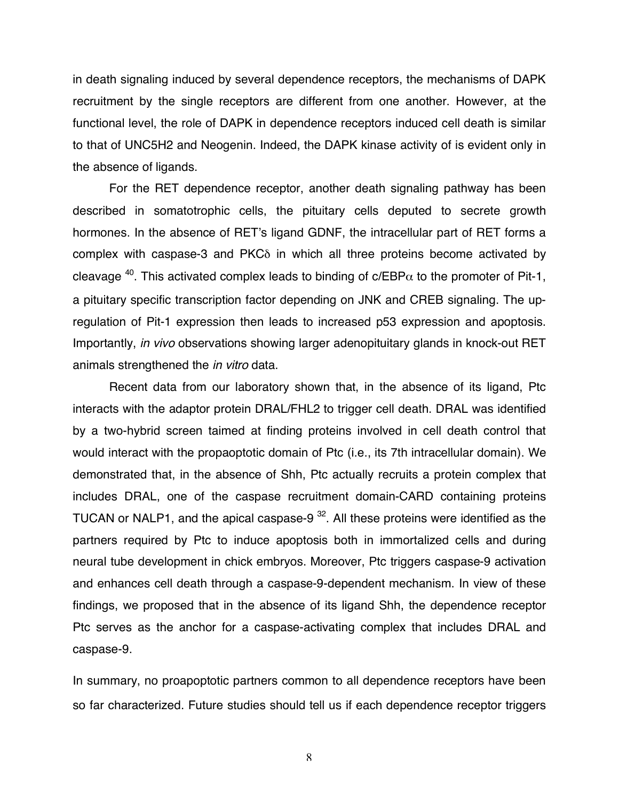in death signaling induced by several dependence receptors, the mechanisms of DAPK recruitment by the single receptors are different from one another. However, at the functional level, the role of DAPK in dependence receptors induced cell death is similar to that of UNC5H2 and Neogenin. Indeed, the DAPK kinase activity of is evident only in the absence of ligands.

For the RET dependence receptor, another death signaling pathway has been described in somatotrophic cells, the pituitary cells deputed to secrete growth hormones. In the absence of RET's ligand GDNF, the intracellular part of RET forms a complex with caspase-3 and PKCδ in which all three proteins become activated by cleavage <sup>40</sup>. This activated complex leads to binding of c/EBP $\alpha$  to the promoter of Pit-1, a pituitary specific transcription factor depending on JNK and CREB signaling. The upregulation of Pit-1 expression then leads to increased p53 expression and apoptosis. Importantly, *in vivo* observations showing larger adenopituitary glands in knock-out RET animals strengthened the *in vitro* data.

Recent data from our laboratory shown that, in the absence of its ligand, Ptc interacts with the adaptor protein DRAL/FHL2 to trigger cell death. DRAL was identified by a two-hybrid screen taimed at finding proteins involved in cell death control that would interact with the propaoptotic domain of Ptc (i.e., its 7th intracellular domain). We demonstrated that, in the absence of Shh, Ptc actually recruits a protein complex that includes DRAL, one of the caspase recruitment domain-CARD containing proteins TUCAN or NALP1, and the apical caspase-9  $32$ . All these proteins were identified as the partners required by Ptc to induce apoptosis both in immortalized cells and during neural tube development in chick embryos. Moreover, Ptc triggers caspase-9 activation and enhances cell death through a caspase-9-dependent mechanism. In view of these findings, we proposed that in the absence of its ligand Shh, the dependence receptor Ptc serves as the anchor for a caspase-activating complex that includes DRAL and caspase-9.

In summary, no proapoptotic partners common to all dependence receptors have been so far characterized. Future studies should tell us if each dependence receptor triggers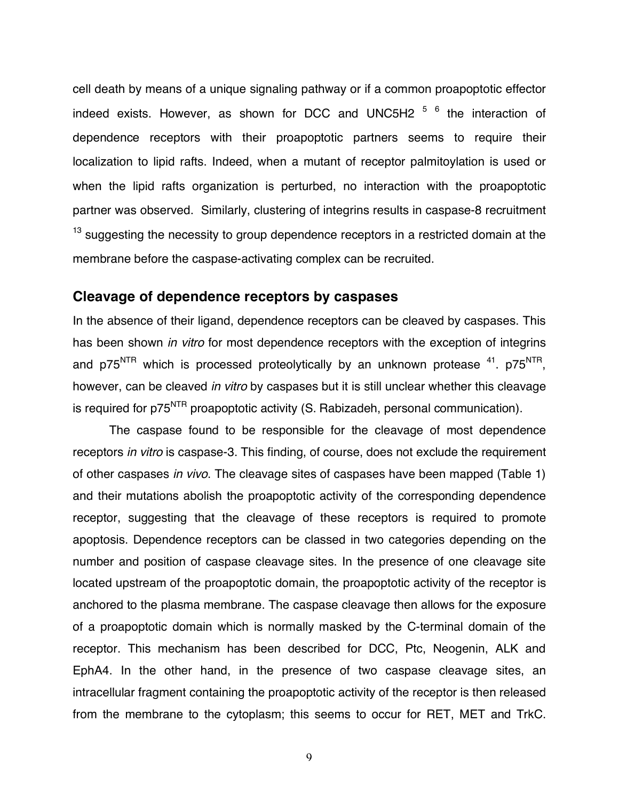cell death by means of a unique signaling pathway or if a common proapoptotic effector indeed exists. However, as shown for DCC and UNC5H2 <sup>5 6</sup> the interaction of dependence receptors with their proapoptotic partners seems to require their localization to lipid rafts. Indeed, when a mutant of receptor palmitoylation is used or when the lipid rafts organization is perturbed, no interaction with the proapoptotic partner was observed. Similarly, clustering of integrins results in caspase-8 recruitment <sup>13</sup> suggesting the necessity to group dependence receptors in a restricted domain at the membrane before the caspase-activating complex can be recruited.

## **Cleavage of dependence receptors by caspases**

In the absence of their ligand, dependence receptors can be cleaved by caspases. This has been shown *in vitro* for most dependence receptors with the exception of integrins and  $p75<sup>NTR</sup>$  which is processed proteolytically by an unknown protease  $41.$   $p75<sup>NTR</sup>$ , however, can be cleaved *in vitro* by caspases but it is still unclear whether this cleavage is required for p75<sup>NTR</sup> proapoptotic activity (S. Rabizadeh, personal communication).

The caspase found to be responsible for the cleavage of most dependence receptors *in vitro* is caspase-3. This finding, of course, does not exclude the requirement of other caspases *in vivo*. The cleavage sites of caspases have been mapped (Table 1) and their mutations abolish the proapoptotic activity of the corresponding dependence receptor, suggesting that the cleavage of these receptors is required to promote apoptosis. Dependence receptors can be classed in two categories depending on the number and position of caspase cleavage sites. In the presence of one cleavage site located upstream of the proapoptotic domain, the proapoptotic activity of the receptor is anchored to the plasma membrane. The caspase cleavage then allows for the exposure of a proapoptotic domain which is normally masked by the C-terminal domain of the receptor. This mechanism has been described for DCC, Ptc, Neogenin, ALK and EphA4. In the other hand, in the presence of two caspase cleavage sites, an intracellular fragment containing the proapoptotic activity of the receptor is then released from the membrane to the cytoplasm; this seems to occur for RET, MET and TrkC.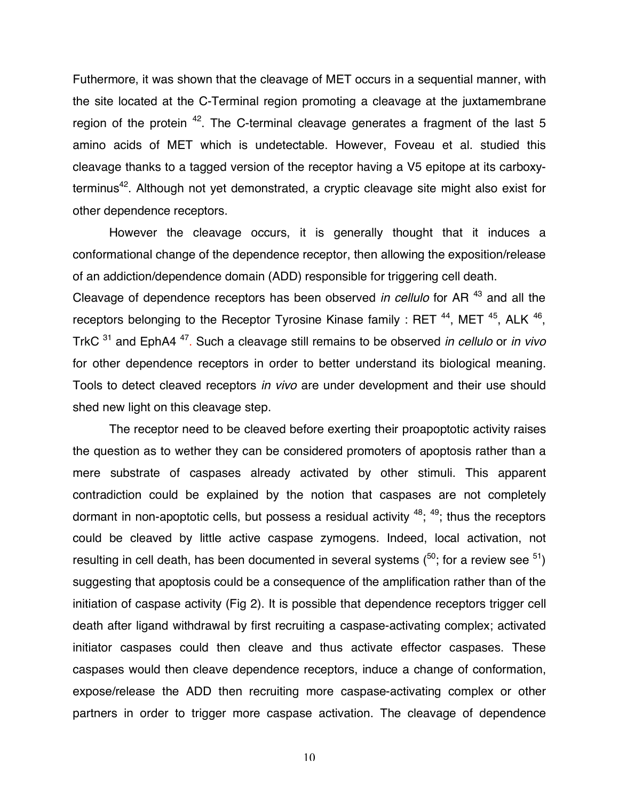Futhermore, it was shown that the cleavage of MET occurs in a sequential manner, with the site located at the C-Terminal region promoting a cleavage at the juxtamembrane region of the protein  $42$ . The C-terminal cleavage generates a fragment of the last 5 amino acids of MET which is undetectable. However, Foveau et al. studied this cleavage thanks to a tagged version of the receptor having a V5 epitope at its carboxyterminus<sup>42</sup>. Although not yet demonstrated, a cryptic cleavage site might also exist for other dependence receptors.

However the cleavage occurs, it is generally thought that it induces a conformational change of the dependence receptor, then allowing the exposition/release of an addiction/dependence domain (ADD) responsible for triggering cell death.

Cleavage of dependence receptors has been observed *in cellulo* for AR 43 and all the receptors belonging to the Receptor Tyrosine Kinase family : RET  $44$ , MET  $45$ , ALK  $46$ , TrkC 31 and EphA4 47. Such a cleavage still remains to be observed *in cellulo* or *in vivo* for other dependence receptors in order to better understand its biological meaning. Tools to detect cleaved receptors *in vivo* are under development and their use should shed new light on this cleavage step.

The receptor need to be cleaved before exerting their proapoptotic activity raises the question as to wether they can be considered promoters of apoptosis rather than a mere substrate of caspases already activated by other stimuli. This apparent contradiction could be explained by the notion that caspases are not completely dormant in non-apoptotic cells, but possess a residual activity  $48$ ;  $49$ ; thus the receptors could be cleaved by little active caspase zymogens. Indeed, local activation, not resulting in cell death, has been documented in several systems  $(50)$ ; for a review see  $51$ ) suggesting that apoptosis could be a consequence of the amplification rather than of the initiation of caspase activity (Fig 2). It is possible that dependence receptors trigger cell death after ligand withdrawal by first recruiting a caspase-activating complex; activated initiator caspases could then cleave and thus activate effector caspases. These caspases would then cleave dependence receptors, induce a change of conformation, expose/release the ADD then recruiting more caspase-activating complex or other partners in order to trigger more caspase activation. The cleavage of dependence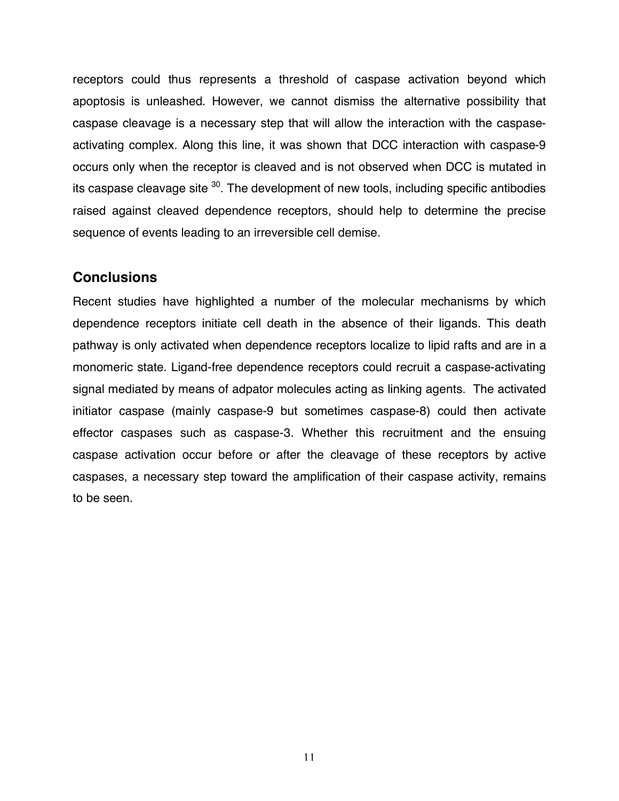receptors could thus represents a threshold of caspase activation beyond which apoptosis is unleashed. However, we cannot dismiss the alternative possibility that caspase cleavage is a necessary step that will allow the interaction with the caspaseactivating complex. Along this line, it was shown that DCC interaction with caspase-9 occurs only when the receptor is cleaved and is not observed when DCC is mutated in its caspase cleavage site  $30$ . The development of new tools, including specific antibodies raised against cleaved dependence receptors, should help to determine the precise sequence of events leading to an irreversible cell demise.

### **Conclusions**

Recent studies have highlighted a number of the molecular mechanisms by which dependence receptors initiate cell death in the absence of their ligands. This death pathway is only activated when dependence receptors localize to lipid rafts and are in a monomeric state. Ligand-free dependence receptors could recruit a caspase-activating signal mediated by means of adpator molecules acting as linking agents. The activated initiator caspase (mainly caspase-9 but sometimes caspase-8) could then activate effector caspases such as caspase-3. Whether this recruitment and the ensuing caspase activation occur before or after the cleavage of these receptors by active caspases, a necessary step toward the amplification of their caspase activity, remains to be seen.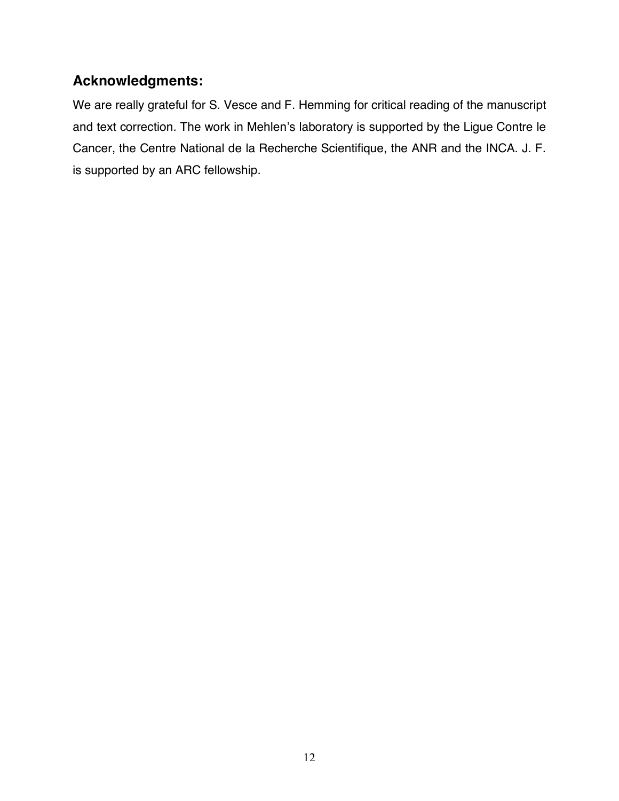# **Acknowledgments:**

We are really grateful for S. Vesce and F. Hemming for critical reading of the manuscript and text correction. The work in Mehlen's laboratory is supported by the Ligue Contre le Cancer, the Centre National de la Recherche Scientifique, the ANR and the INCA. J. F. is supported by an ARC fellowship.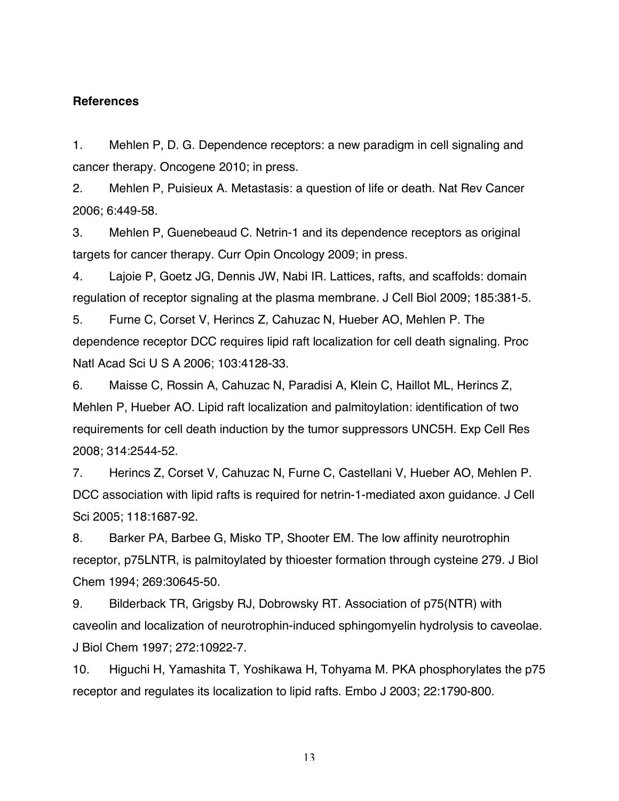#### **References**

1. Mehlen P, D. G. Dependence receptors: a new paradigm in cell signaling and cancer therapy. Oncogene 2010; in press.

2. Mehlen P, Puisieux A. Metastasis: a question of life or death. Nat Rev Cancer 2006; 6:449-58.

3. Mehlen P, Guenebeaud C. Netrin-1 and its dependence receptors as original targets for cancer therapy. Curr Opin Oncology 2009; in press.

4. Lajoie P, Goetz JG, Dennis JW, Nabi IR. Lattices, rafts, and scaffolds: domain regulation of receptor signaling at the plasma membrane. J Cell Biol 2009; 185:381-5.

5. Furne C, Corset V, Herincs Z, Cahuzac N, Hueber AO, Mehlen P. The dependence receptor DCC requires lipid raft localization for cell death signaling. Proc Natl Acad Sci U S A 2006; 103:4128-33.

6. Maisse C, Rossin A, Cahuzac N, Paradisi A, Klein C, Haillot ML, Herincs Z, Mehlen P, Hueber AO. Lipid raft localization and palmitoylation: identification of two requirements for cell death induction by the tumor suppressors UNC5H. Exp Cell Res 2008; 314:2544-52.

7. Herincs Z, Corset V, Cahuzac N, Furne C, Castellani V, Hueber AO, Mehlen P. DCC association with lipid rafts is required for netrin-1-mediated axon guidance. J Cell Sci 2005; 118:1687-92.

8. Barker PA, Barbee G, Misko TP, Shooter EM. The low affinity neurotrophin receptor, p75LNTR, is palmitoylated by thioester formation through cysteine 279. J Biol Chem 1994; 269:30645-50.

9. Bilderback TR, Grigsby RJ, Dobrowsky RT. Association of p75(NTR) with caveolin and localization of neurotrophin-induced sphingomyelin hydrolysis to caveolae. J Biol Chem 1997; 272:10922-7.

10. Higuchi H, Yamashita T, Yoshikawa H, Tohyama M. PKA phosphorylates the p75 receptor and regulates its localization to lipid rafts. Embo J 2003; 22:1790-800.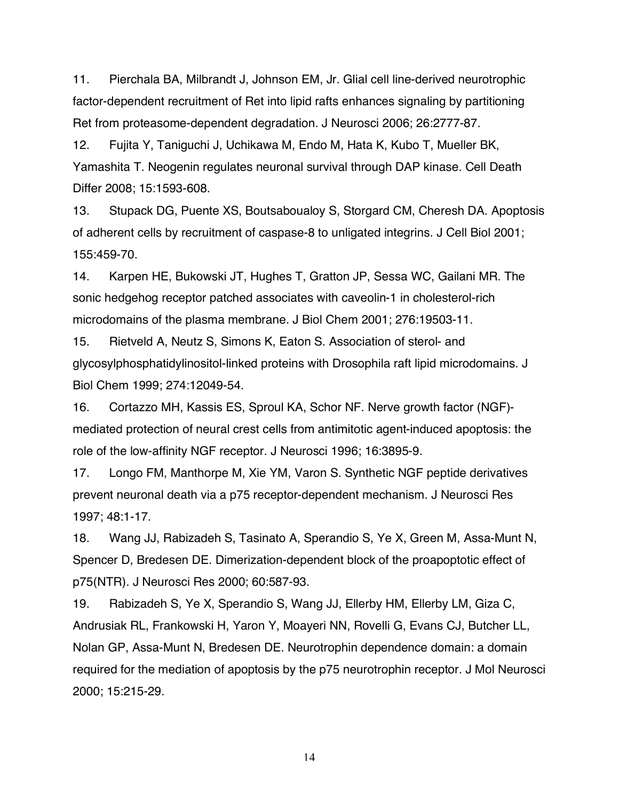11. Pierchala BA, Milbrandt J, Johnson EM, Jr. Glial cell line-derived neurotrophic factor-dependent recruitment of Ret into lipid rafts enhances signaling by partitioning Ret from proteasome-dependent degradation. J Neurosci 2006; 26:2777-87.

12. Fujita Y, Taniguchi J, Uchikawa M, Endo M, Hata K, Kubo T, Mueller BK, Yamashita T. Neogenin regulates neuronal survival through DAP kinase. Cell Death Differ 2008; 15:1593-608.

13. Stupack DG, Puente XS, Boutsaboualoy S, Storgard CM, Cheresh DA. Apoptosis of adherent cells by recruitment of caspase-8 to unligated integrins. J Cell Biol 2001; 155:459-70.

14. Karpen HE, Bukowski JT, Hughes T, Gratton JP, Sessa WC, Gailani MR. The sonic hedgehog receptor patched associates with caveolin-1 in cholesterol-rich microdomains of the plasma membrane. J Biol Chem 2001; 276:19503-11.

15. Rietveld A, Neutz S, Simons K, Eaton S. Association of sterol- and glycosylphosphatidylinositol-linked proteins with Drosophila raft lipid microdomains. J Biol Chem 1999; 274:12049-54.

16. Cortazzo MH, Kassis ES, Sproul KA, Schor NF. Nerve growth factor (NGF) mediated protection of neural crest cells from antimitotic agent-induced apoptosis: the role of the low-affinity NGF receptor. J Neurosci 1996; 16:3895-9.

17. Longo FM, Manthorpe M, Xie YM, Varon S. Synthetic NGF peptide derivatives prevent neuronal death via a p75 receptor-dependent mechanism. J Neurosci Res 1997; 48:1-17.

18. Wang JJ, Rabizadeh S, Tasinato A, Sperandio S, Ye X, Green M, Assa-Munt N, Spencer D, Bredesen DE. Dimerization-dependent block of the proapoptotic effect of p75(NTR). J Neurosci Res 2000; 60:587-93.

19. Rabizadeh S, Ye X, Sperandio S, Wang JJ, Ellerby HM, Ellerby LM, Giza C, Andrusiak RL, Frankowski H, Yaron Y, Moayeri NN, Rovelli G, Evans CJ, Butcher LL, Nolan GP, Assa-Munt N, Bredesen DE. Neurotrophin dependence domain: a domain required for the mediation of apoptosis by the p75 neurotrophin receptor. J Mol Neurosci 2000; 15:215-29.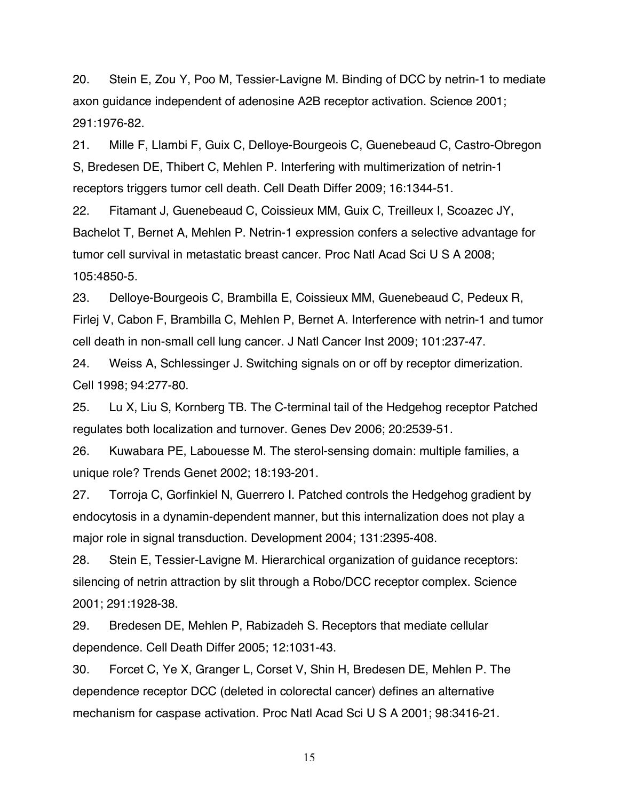20. Stein E, Zou Y, Poo M, Tessier-Lavigne M. Binding of DCC by netrin-1 to mediate axon guidance independent of adenosine A2B receptor activation. Science 2001; 291:1976-82.

21. Mille F, Llambi F, Guix C, Delloye-Bourgeois C, Guenebeaud C, Castro-Obregon S, Bredesen DE, Thibert C, Mehlen P. Interfering with multimerization of netrin-1 receptors triggers tumor cell death. Cell Death Differ 2009; 16:1344-51.

22. Fitamant J, Guenebeaud C, Coissieux MM, Guix C, Treilleux I, Scoazec JY, Bachelot T, Bernet A, Mehlen P. Netrin-1 expression confers a selective advantage for tumor cell survival in metastatic breast cancer. Proc Natl Acad Sci U S A 2008; 105:4850-5.

23. Delloye-Bourgeois C, Brambilla E, Coissieux MM, Guenebeaud C, Pedeux R, Firlej V, Cabon F, Brambilla C, Mehlen P, Bernet A. Interference with netrin-1 and tumor cell death in non-small cell lung cancer. J Natl Cancer Inst 2009; 101:237-47.

24. Weiss A, Schlessinger J. Switching signals on or off by receptor dimerization. Cell 1998; 94:277-80.

25. Lu X, Liu S, Kornberg TB. The C-terminal tail of the Hedgehog receptor Patched regulates both localization and turnover. Genes Dev 2006; 20:2539-51.

26. Kuwabara PE, Labouesse M. The sterol-sensing domain: multiple families, a unique role? Trends Genet 2002; 18:193-201.

27. Torroja C, Gorfinkiel N, Guerrero I. Patched controls the Hedgehog gradient by endocytosis in a dynamin-dependent manner, but this internalization does not play a major role in signal transduction. Development 2004; 131:2395-408.

28. Stein E, Tessier-Lavigne M. Hierarchical organization of guidance receptors: silencing of netrin attraction by slit through a Robo/DCC receptor complex. Science 2001; 291:1928-38.

29. Bredesen DE, Mehlen P, Rabizadeh S. Receptors that mediate cellular dependence. Cell Death Differ 2005; 12:1031-43.

30. Forcet C, Ye X, Granger L, Corset V, Shin H, Bredesen DE, Mehlen P. The dependence receptor DCC (deleted in colorectal cancer) defines an alternative mechanism for caspase activation. Proc Natl Acad Sci U S A 2001; 98:3416-21.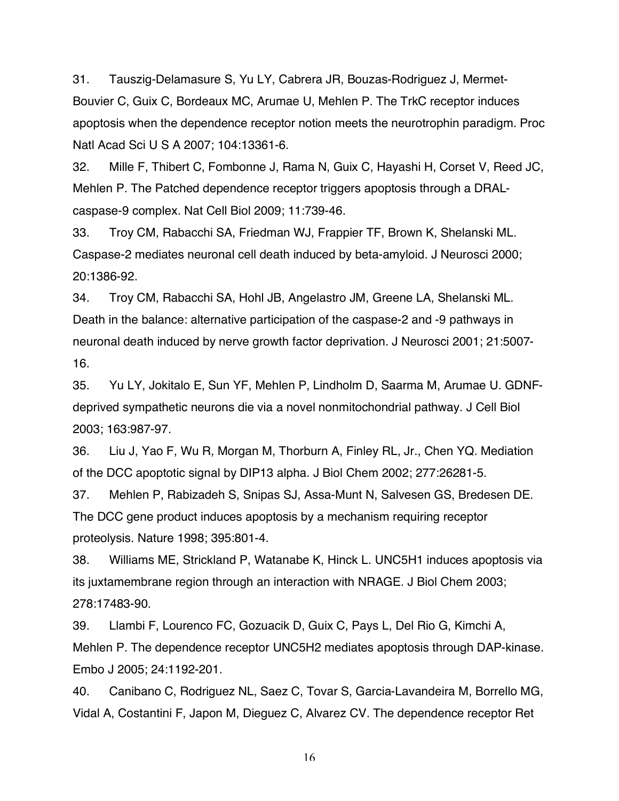31. Tauszig-Delamasure S, Yu LY, Cabrera JR, Bouzas-Rodriguez J, Mermet-Bouvier C, Guix C, Bordeaux MC, Arumae U, Mehlen P. The TrkC receptor induces apoptosis when the dependence receptor notion meets the neurotrophin paradigm. Proc Natl Acad Sci U S A 2007; 104:13361-6.

32. Mille F, Thibert C, Fombonne J, Rama N, Guix C, Hayashi H, Corset V, Reed JC, Mehlen P. The Patched dependence receptor triggers apoptosis through a DRALcaspase-9 complex. Nat Cell Biol 2009; 11:739-46.

33. Troy CM, Rabacchi SA, Friedman WJ, Frappier TF, Brown K, Shelanski ML. Caspase-2 mediates neuronal cell death induced by beta-amyloid. J Neurosci 2000; 20:1386-92.

34. Troy CM, Rabacchi SA, Hohl JB, Angelastro JM, Greene LA, Shelanski ML. Death in the balance: alternative participation of the caspase-2 and -9 pathways in neuronal death induced by nerve growth factor deprivation. J Neurosci 2001; 21:5007- 16.

35. Yu LY, Jokitalo E, Sun YF, Mehlen P, Lindholm D, Saarma M, Arumae U. GDNFdeprived sympathetic neurons die via a novel nonmitochondrial pathway. J Cell Biol 2003; 163:987-97.

36. Liu J, Yao F, Wu R, Morgan M, Thorburn A, Finley RL, Jr., Chen YQ. Mediation of the DCC apoptotic signal by DIP13 alpha. J Biol Chem 2002; 277:26281-5.

37. Mehlen P, Rabizadeh S, Snipas SJ, Assa-Munt N, Salvesen GS, Bredesen DE. The DCC gene product induces apoptosis by a mechanism requiring receptor proteolysis. Nature 1998; 395:801-4.

38. Williams ME, Strickland P, Watanabe K, Hinck L. UNC5H1 induces apoptosis via its juxtamembrane region through an interaction with NRAGE. J Biol Chem 2003; 278:17483-90.

39. Llambi F, Lourenco FC, Gozuacik D, Guix C, Pays L, Del Rio G, Kimchi A, Mehlen P. The dependence receptor UNC5H2 mediates apoptosis through DAP-kinase. Embo J 2005; 24:1192-201.

40. Canibano C, Rodriguez NL, Saez C, Tovar S, Garcia-Lavandeira M, Borrello MG, Vidal A, Costantini F, Japon M, Dieguez C, Alvarez CV. The dependence receptor Ret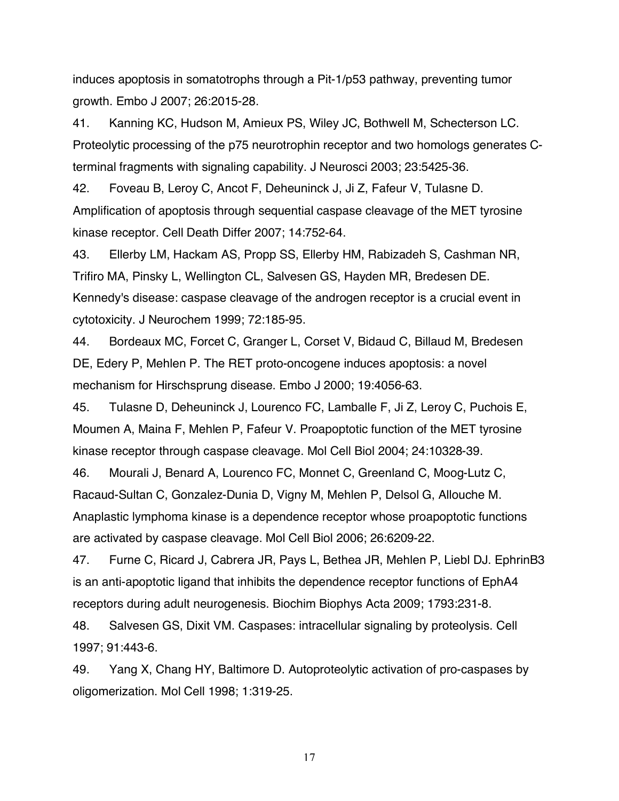induces apoptosis in somatotrophs through a Pit-1/p53 pathway, preventing tumor growth. Embo J 2007; 26:2015-28.

41. Kanning KC, Hudson M, Amieux PS, Wiley JC, Bothwell M, Schecterson LC. Proteolytic processing of the p75 neurotrophin receptor and two homologs generates Cterminal fragments with signaling capability. J Neurosci 2003; 23:5425-36.

42. Foveau B, Leroy C, Ancot F, Deheuninck J, Ji Z, Fafeur V, Tulasne D. Amplification of apoptosis through sequential caspase cleavage of the MET tyrosine kinase receptor. Cell Death Differ 2007; 14:752-64.

43. Ellerby LM, Hackam AS, Propp SS, Ellerby HM, Rabizadeh S, Cashman NR, Trifiro MA, Pinsky L, Wellington CL, Salvesen GS, Hayden MR, Bredesen DE. Kennedy's disease: caspase cleavage of the androgen receptor is a crucial event in cytotoxicity. J Neurochem 1999; 72:185-95.

44. Bordeaux MC, Forcet C, Granger L, Corset V, Bidaud C, Billaud M, Bredesen DE, Edery P, Mehlen P. The RET proto-oncogene induces apoptosis: a novel mechanism for Hirschsprung disease. Embo J 2000; 19:4056-63.

45. Tulasne D, Deheuninck J, Lourenco FC, Lamballe F, Ji Z, Leroy C, Puchois E, Moumen A, Maina F, Mehlen P, Fafeur V. Proapoptotic function of the MET tyrosine kinase receptor through caspase cleavage. Mol Cell Biol 2004; 24:10328-39.

46. Mourali J, Benard A, Lourenco FC, Monnet C, Greenland C, Moog-Lutz C, Racaud-Sultan C, Gonzalez-Dunia D, Vigny M, Mehlen P, Delsol G, Allouche M. Anaplastic lymphoma kinase is a dependence receptor whose proapoptotic functions are activated by caspase cleavage. Mol Cell Biol 2006; 26:6209-22.

47. Furne C, Ricard J, Cabrera JR, Pays L, Bethea JR, Mehlen P, Liebl DJ. EphrinB3 is an anti-apoptotic ligand that inhibits the dependence receptor functions of EphA4 receptors during adult neurogenesis. Biochim Biophys Acta 2009; 1793:231-8.

48. Salvesen GS, Dixit VM. Caspases: intracellular signaling by proteolysis. Cell 1997; 91:443-6.

49. Yang X, Chang HY, Baltimore D. Autoproteolytic activation of pro-caspases by oligomerization. Mol Cell 1998; 1:319-25.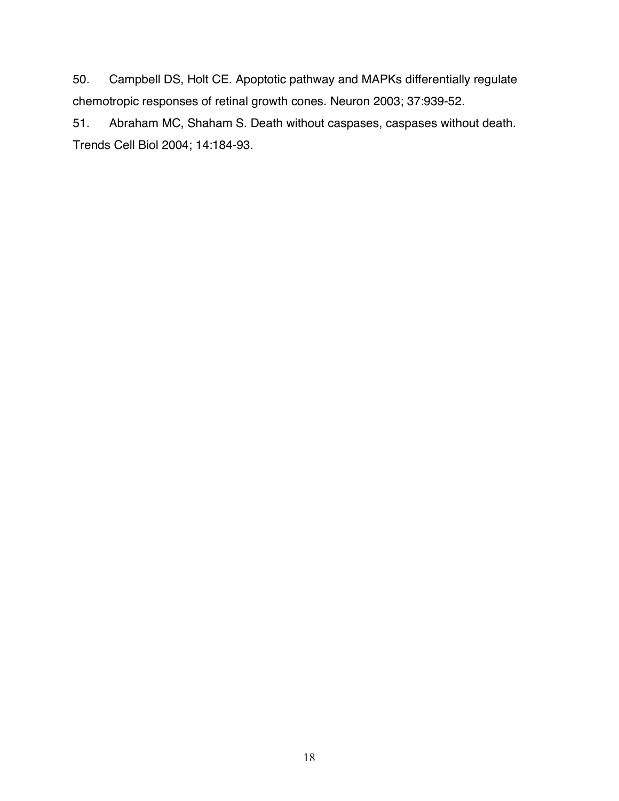50. Campbell DS, Holt CE. Apoptotic pathway and MAPKs differentially regulate chemotropic responses of retinal growth cones. Neuron 2003; 37:939-52.

51. Abraham MC, Shaham S. Death without caspases, caspases without death. Trends Cell Biol 2004; 14:184-93.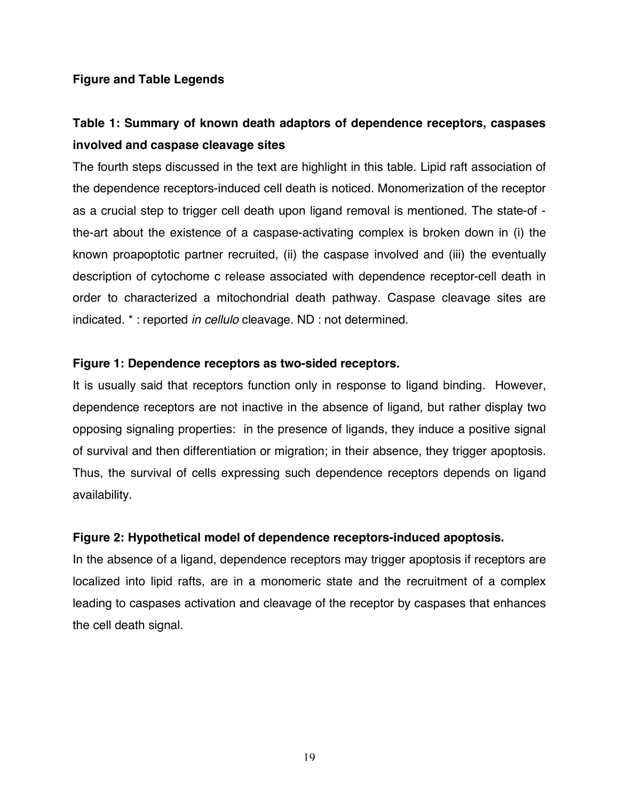#### **Figure and Table Legends**

# **Table 1: Summary of known death adaptors of dependence receptors, caspases involved and caspase cleavage sites**

The fourth steps discussed in the text are highlight in this table. Lipid raft association of the dependence receptors-induced cell death is noticed. Monomerization of the receptor as a crucial step to trigger cell death upon ligand removal is mentioned. The state-of the-art about the existence of a caspase-activating complex is broken down in (i) the known proapoptotic partner recruited, (ii) the caspase involved and (iii) the eventually description of cytochome c release associated with dependence receptor-cell death in order to characterized a mitochondrial death pathway. Caspase cleavage sites are indicated. \* : reported *in cellulo* cleavage. ND : not determined.

#### **Figure 1: Dependence receptors as two-sided receptors.**

It is usually said that receptors function only in response to ligand binding. However, dependence receptors are not inactive in the absence of ligand, but rather display two opposing signaling properties: in the presence of ligands, they induce a positive signal of survival and then differentiation or migration; in their absence, they trigger apoptosis. Thus, the survival of cells expressing such dependence receptors depends on ligand availability.

#### **Figure 2: Hypothetical model of dependence receptors-induced apoptosis.**

In the absence of a ligand, dependence receptors may trigger apoptosis if receptors are localized into lipid rafts, are in a monomeric state and the recruitment of a complex leading to caspases activation and cleavage of the receptor by caspases that enhances the cell death signal.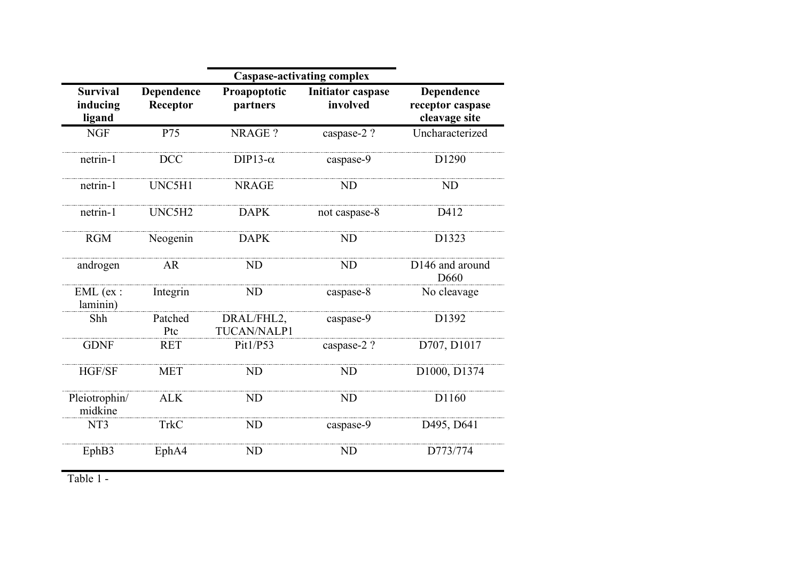|                                       |                        | <b>Caspase-activating complex</b> |                                      |                                                 |
|---------------------------------------|------------------------|-----------------------------------|--------------------------------------|-------------------------------------------------|
| <b>Survival</b><br>inducing<br>ligand | Dependence<br>Receptor | Proapoptotic<br>partners          | <b>Initiator caspase</b><br>involved | Dependence<br>receptor caspase<br>cleavage site |
| <b>NGF</b>                            | P75                    | NRAGE?                            | caspase-2?                           | Uncharacterized                                 |
| netrin-1                              | <b>DCC</b>             | DIP13- $\alpha$                   | caspase-9                            | D1290                                           |
| netrin-1                              | UNC5H1                 | <b>NRAGE</b>                      | <b>ND</b>                            | <b>ND</b>                                       |
| netrin-1                              | UNC5H2                 | <b>DAPK</b>                       | not caspase-8                        | D412                                            |
| <b>RGM</b>                            | Neogenin               | <b>DAPK</b>                       | <b>ND</b>                            | D1323                                           |
| androgen                              | <b>AR</b>              | <b>ND</b>                         | <b>ND</b>                            | D146 and around<br>D <sub>660</sub>             |
| $EML$ (ex :<br>laminin)               | Integrin               | <b>ND</b>                         | caspase-8                            | No cleavage                                     |
| Shh                                   | Patched<br>Ptc         | DRAL/FHL2,<br>TUCAN/NALP1         | caspase-9                            | D1392                                           |
| <b>GDNF</b>                           | <b>RET</b>             | Pit1/P53                          | caspase-2?                           | D707, D1017                                     |
| HGF/SF                                | <b>MET</b>             | <b>ND</b>                         | <b>ND</b>                            | D1000, D1374                                    |
| Pleiotrophin/<br>midkine              | <b>ALK</b>             | <b>ND</b>                         | ND                                   | D1160                                           |
| NT <sub>3</sub>                       | <b>TrkC</b>            | <b>ND</b>                         | caspase-9                            | D495, D641                                      |
| EphB3                                 | EphA4                  | <b>ND</b>                         | <b>ND</b>                            | D773/774                                        |

Table 1 -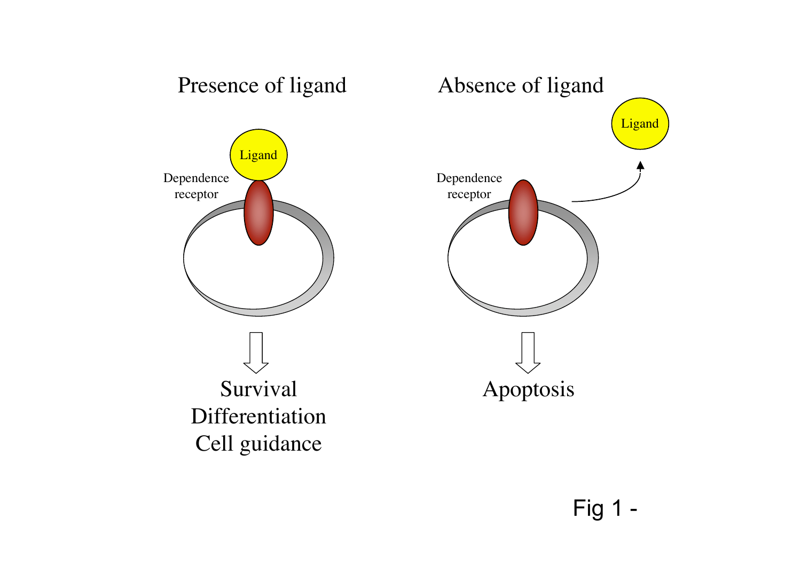

# Fig 1 -